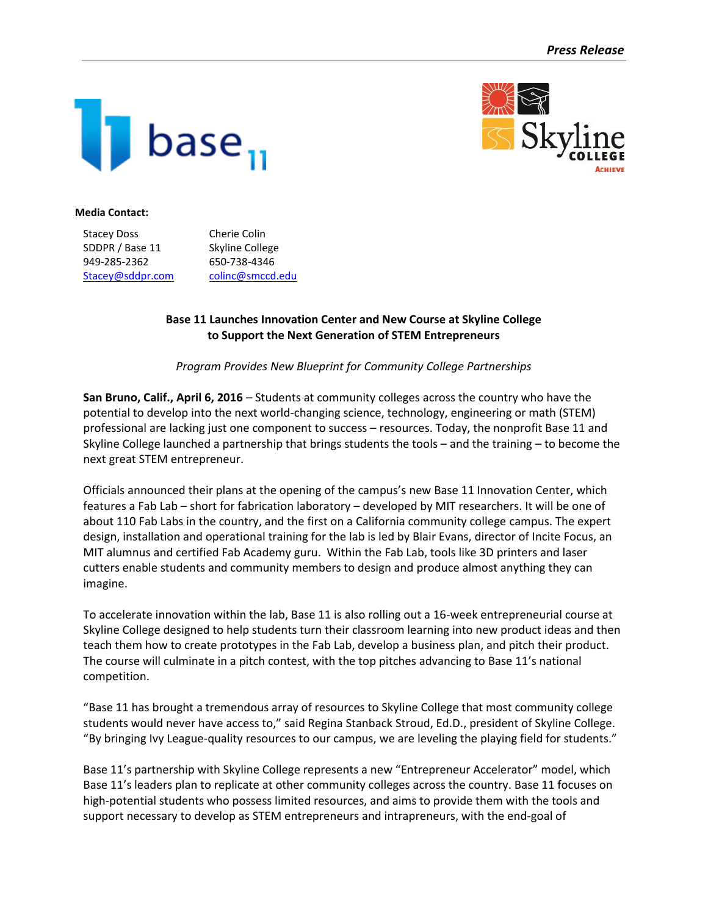



#### **Media Contact:**

| <b>Stacey Doss</b> | Cherie Colin     |
|--------------------|------------------|
| SDDPR / Base 11    | Skyline College  |
| 949-285-2362       | 650-738-4346     |
| Stacey@sddpr.com   | colinc@smccd.edu |

# **Base 11 Launches Innovation Center and New Course at Skyline College to Support the Next Generation of STEM Entrepreneurs**

## *Program Provides New Blueprint for Community College Partnerships*

**San Bruno, Calif., April 6, 2016** – Students at community colleges across the country who have the potential to develop into the next world-changing science, technology, engineering or math (STEM) professional are lacking just one component to success – resources. Today, the nonprofit Base 11 and Skyline College launched a partnership that brings students the tools – and the training – to become the next great STEM entrepreneur.

Officials announced their plans at the opening of the campus's new Base 11 Innovation Center, which features a Fab Lab – short for fabrication laboratory – developed by MIT researchers. It will be one of about 110 Fab Labs in the country, and the first on a California community college campus. The expert design, installation and operational training for the lab is led by Blair Evans, director of Incite Focus, an MIT alumnus and certified Fab Academy guru. Within the Fab Lab, tools like 3D printers and laser cutters enable students and community members to design and produce almost anything they can imagine.

To accelerate innovation within the lab, Base 11 is also rolling out a 16-week entrepreneurial course at Skyline College designed to help students turn their classroom learning into new product ideas and then teach them how to create prototypes in the Fab Lab, develop a business plan, and pitch their product. The course will culminate in a pitch contest, with the top pitches advancing to Base 11's national competition.

"Base 11 has brought a tremendous array of resources to Skyline College that most community college students would never have access to," said Regina Stanback Stroud, Ed.D., president of Skyline College. "By bringing Ivy League-quality resources to our campus, we are leveling the playing field for students."

Base 11's partnership with Skyline College represents a new "Entrepreneur Accelerator" model, which Base 11's leaders plan to replicate at other community colleges across the country. Base 11 focuses on high-potential students who possess limited resources, and aims to provide them with the tools and support necessary to develop as STEM entrepreneurs and intrapreneurs, with the end-goal of